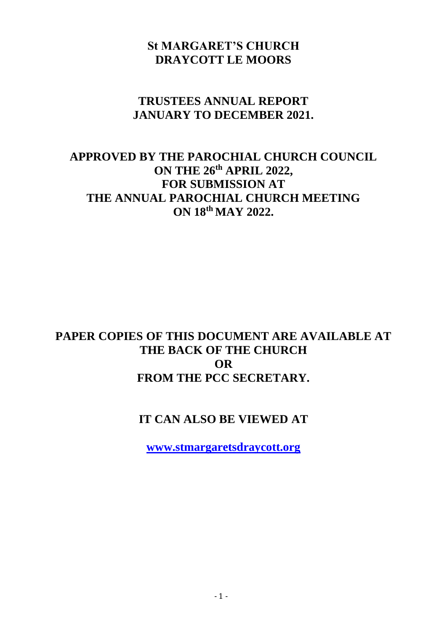# **St MARGARET'S CHURCH DRAYCOTT LE MOORS**

## **TRUSTEES ANNUAL REPORT JANUARY TO DECEMBER 2021.**

# **APPROVED BY THE PAROCHIAL CHURCH COUNCIL ON THE 26th APRIL 2022, FOR SUBMISSION AT THE ANNUAL PAROCHIAL CHURCH MEETING ON 18th MAY 2022.**

# **PAPER COPIES OF THIS DOCUMENT ARE AVAILABLE AT THE BACK OF THE CHURCH OR FROM THE PCC SECRETARY.**

# **IT CAN ALSO BE VIEWED AT**

**[www.stmargaretsdraycott.org](http://www.stmargaretsdraycott.org/)**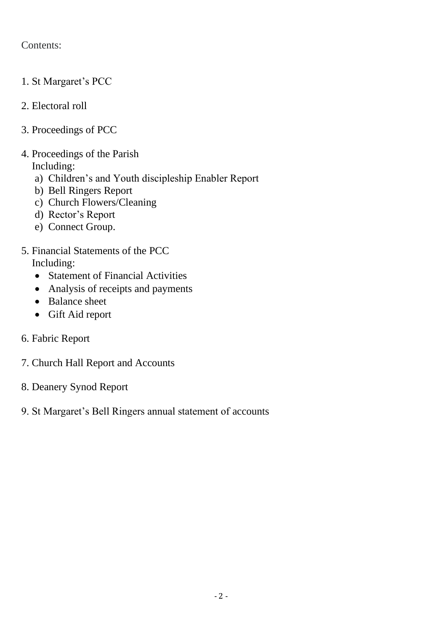#### Contents:

- 1. St Margaret's PCC
- 2. Electoral roll
- 3. Proceedings of PCC
- 4. Proceedings of the Parish Including:
	- a) Children's and Youth discipleship Enabler Report
	- b) Bell Ringers Report
	- c) Church Flowers/Cleaning
	- d) Rector's Report
	- e) Connect Group.
- 5. Financial Statements of the PCC Including:
	- Statement of Financial Activities
	- Analysis of receipts and payments
	- Balance sheet
	- Gift Aid report
- 6. Fabric Report
- 7. Church Hall Report and Accounts
- 8. Deanery Synod Report
- 9. St Margaret's Bell Ringers annual statement of accounts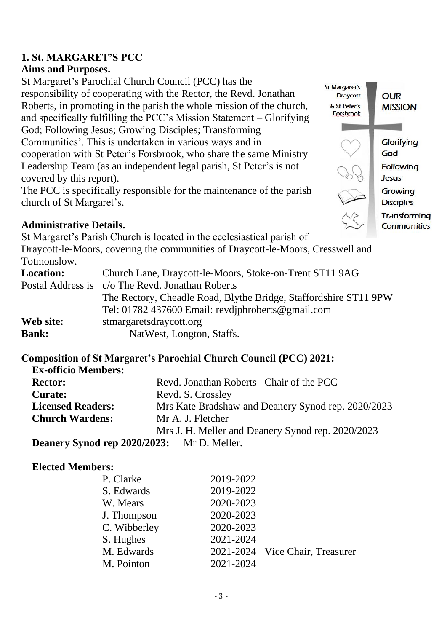# **1. St. MARGARET'S PCC**

#### **Aims and Purposes.**

St Margaret's Parochial Church Council (PCC) has the responsibility of cooperating with the Rector, the Revd. Jonathan Roberts, in promoting in the parish the whole mission of the church, and specifically fulfilling the PCC's Mission Statement – Glorifying God; Following Jesus; Growing Disciples; Transforming Communities'. This is undertaken in various ways and in cooperation with St Peter's Forsbrook, who share the same Ministry Leadership Team (as an independent legal parish, St Peter's is not covered by this report).

The PCC is specifically responsible for the maintenance of the parish church of St Margaret's.

#### **Administrative Details.**

St Margaret's Parish Church is located in the ecclesiastical parish of Draycott-le-Moors, covering the communities of Draycott-le-Moors, Cresswell and Totmonslow. **Location:** Church Lane, Draycott-le-Moors, Stoke-on-Trent ST11 9AG Postal Address is c/o The Revd. Jonathan Roberts The Rectory, Cheadle Road, Blythe Bridge, Staffordshire ST11 9PW Tel: 01782 437600 Email: revdjphroberts@gmail.com **Web site:** stmargaretsdraycott.org **Bank:** NatWest, Longton, Staffs.

**Composition of St Margaret's Parochial Church Council (PCC) 2021: Ex-officio Members: Rector:** Revd. Jonathan Roberts Chair of the PCC **Curate:** Revd. S. Crossley **Licensed Readers:** Mrs Kate Bradshaw and Deanery Synod rep. 2020/2023 **Church Wardens:** Mr A. J. Fletcher Mrs J. H. Meller and Deanery Synod rep. 2020/2023

**Deanery Synod rep 2020/2023:** Mr D. Meller.

#### **Elected Members:**

| P. Clarke    | 2019-2022 |                                 |
|--------------|-----------|---------------------------------|
| S. Edwards   | 2019-2022 |                                 |
| W. Mears     | 2020-2023 |                                 |
| J. Thompson  | 2020-2023 |                                 |
| C. Wibberley | 2020-2023 |                                 |
| S. Hughes    | 2021-2024 |                                 |
| M. Edwards   |           | 2021-2024 Vice Chair, Treasurer |
| M. Pointon   | 2021-2024 |                                 |

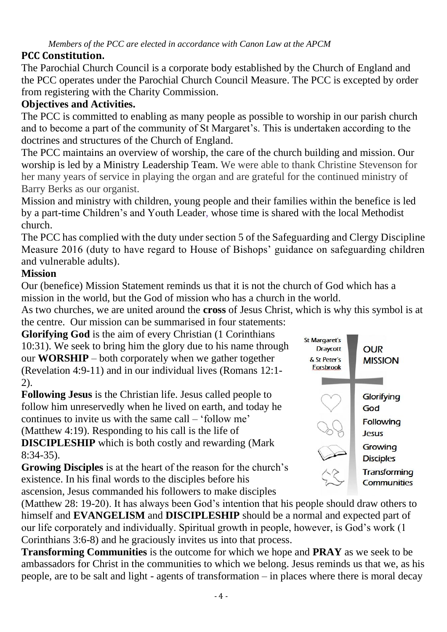# **PCC Constitution.**

The Parochial Church Council is a corporate body established by the Church of England and the PCC operates under the Parochial Church Council Measure. The PCC is excepted by order from registering with the Charity Commission.

# **Objectives and Activities.**

The PCC is committed to enabling as many people as possible to worship in our parish church and to become a part of the community of St Margaret's. This is undertaken according to the doctrines and structures of the Church of England.

The PCC maintains an overview of worship, the care of the church building and mission. Our worship is led by a Ministry Leadership Team. We were able to thank Christine Stevenson for her many years of service in playing the organ and are grateful for the continued ministry of Barry Berks as our organist.

Mission and ministry with children, young people and their families within the benefice is led by a part-time Children's and Youth Leader, whose time is shared with the local Methodist church.

The PCC has complied with the duty under section 5 of the Safeguarding and Clergy Discipline Measure 2016 (duty to have regard to House of Bishops' guidance on safeguarding children and vulnerable adults).

## **Mission**

Our (benefice) Mission Statement reminds us that it is not the church of God which has a mission in the world, but the God of mission who has a church in the world.

As two churches, we are united around the **cross** of Jesus Christ, which is why this symbol is at the centre. Our mission can be summarised in four statements:

**Glorifying God** is the aim of every Christian (1 Corinthians 10:31). We seek to bring him the glory due to his name through our **WORSHIP** – both corporately when we gather together (Revelation 4:9-11) and in our individual lives (Romans 12:1- 2).

**Following Jesus** is the Christian life. Jesus called people to follow him unreservedly when he lived on earth, and today he continues to invite us with the same call – 'follow me' (Matthew 4:19). Responding to his call is the life of **DISCIPLESHIP** which is both costly and rewarding (Mark 8:34-35).

**Growing Disciples** is at the heart of the reason for the church's existence. In his final words to the disciples before his ascension, Jesus commanded his followers to make disciples



(Matthew 28: 19-20). It has always been God's intention that his people should draw others to himself and **EVANGELISM** and **DISCIPLESHIP** should be a normal and expected part of our life corporately and individually. Spiritual growth in people, however, is God's work (1 Corinthians 3:6-8) and he graciously invites us into that process.

**Transforming Communities** is the outcome for which we hope and **PRAY** as we seek to be ambassadors for Christ in the communities to which we belong. Jesus reminds us that we, as his people, are to be salt and light - agents of transformation – in places where there is moral decay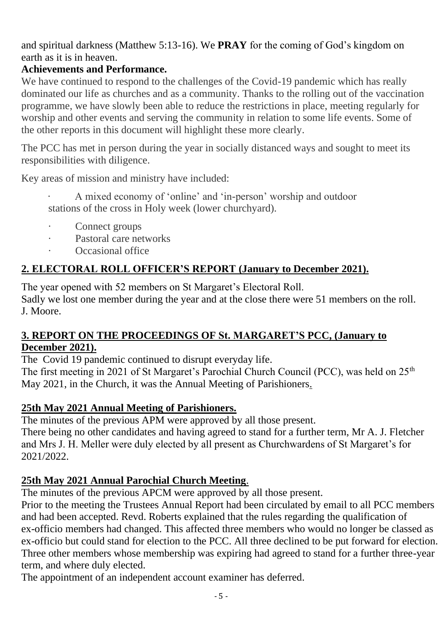and spiritual darkness (Matthew 5:13-16). We **PRAY** for the coming of God's kingdom on earth as it is in heaven.

## **Achievements and Performance.**

We have continued to respond to the challenges of the Covid-19 pandemic which has really dominated our life as churches and as a community. Thanks to the rolling out of the vaccination programme, we have slowly been able to reduce the restrictions in place, meeting regularly for worship and other events and serving the community in relation to some life events. Some of the other reports in this document will highlight these more clearly.

The PCC has met in person during the year in socially distanced ways and sought to meet its responsibilities with diligence.

Key areas of mission and ministry have included:

· A mixed economy of 'online' and 'in-person' worship and outdoor stations of the cross in Holy week (lower churchyard).

- Connect groups
- Pastoral care networks
- Occasional office

# **2. ELECTORAL ROLL OFFICER'S REPORT (January to December 2021).**

The year opened with 52 members on St Margaret's Electoral Roll. Sadly we lost one member during the year and at the close there were 51 members on the roll. J. Moore.

## **3. REPORT ON THE PROCEEDINGS OF St. MARGARET'S PCC, (January to December 2021).**

The Covid 19 pandemic continued to disrupt everyday life.

The first meeting in 2021 of St Margaret's Parochial Church Council (PCC), was held on 25<sup>th</sup> May 2021, in the Church, it was the Annual Meeting of Parishioners.

# **25th May 2021 Annual Meeting of Parishioners.**

The minutes of the previous APM were approved by all those present.

There being no other candidates and having agreed to stand for a further term, Mr A. J. Fletcher and Mrs J. H. Meller were duly elected by all present as Churchwardens of St Margaret's for 2021/2022.

# **25th May 2021 Annual Parochial Church Meeting**.

The minutes of the previous APCM were approved by all those present.

Prior to the meeting the Trustees Annual Report had been circulated by email to all PCC members and had been accepted. Revd. Roberts explained that the rules regarding the qualification of ex-officio members had changed. This affected three members who would no longer be classed as ex-officio but could stand for election to the PCC. All three declined to be put forward for election. Three other members whose membership was expiring had agreed to stand for a further three-year term, and where duly elected.

The appointment of an independent account examiner has deferred.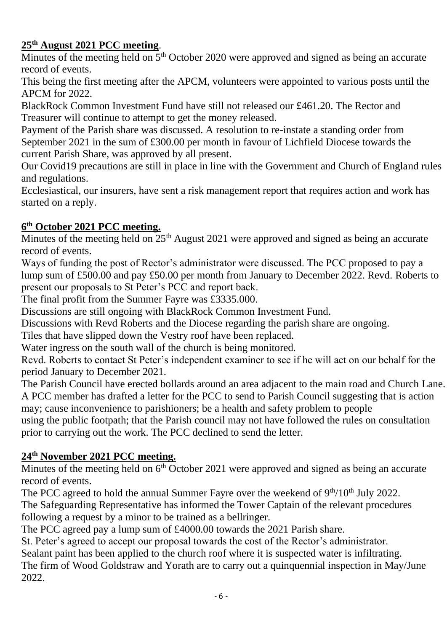# **25th August 2021 PCC meeting**.

Minutes of the meeting held on 5<sup>th</sup> October 2020 were approved and signed as being an accurate record of events.

This being the first meeting after the APCM, volunteers were appointed to various posts until the APCM for 2022.

BlackRock Common Investment Fund have still not released our £461.20. The Rector and Treasurer will continue to attempt to get the money released.

Payment of the Parish share was discussed. A resolution to re-instate a standing order from September 2021 in the sum of £300.00 per month in favour of Lichfield Diocese towards the current Parish Share, was approved by all present.

Our Covid19 precautions are still in place in line with the Government and Church of England rules and regulations.

Ecclesiastical, our insurers, have sent a risk management report that requires action and work has started on a reply.

## **6 th October 2021 PCC meeting.**

Minutes of the meeting held on  $25<sup>th</sup>$  August 2021 were approved and signed as being an accurate record of events.

Ways of funding the post of Rector's administrator were discussed. The PCC proposed to pay a lump sum of £500.00 and pay £50.00 per month from January to December 2022. Revd. Roberts to present our proposals to St Peter's PCC and report back.

The final profit from the Summer Fayre was £3335.000.

Discussions are still ongoing with BlackRock Common Investment Fund.

Discussions with Revd Roberts and the Diocese regarding the parish share are ongoing.

Tiles that have slipped down the Vestry roof have been replaced.

Water ingress on the south wall of the church is being monitored.

Revd. Roberts to contact St Peter's independent examiner to see if he will act on our behalf for the period January to December 2021.

The Parish Council have erected bollards around an area adjacent to the main road and Church Lane. A PCC member has drafted a letter for the PCC to send to Parish Council suggesting that is action may; cause inconvenience to parishioners; be a health and safety problem to people

using the public footpath; that the Parish council may not have followed the rules on consultation prior to carrying out the work. The PCC declined to send the letter.

## **24th November 2021 PCC meeting.**

Minutes of the meeting held on  $6<sup>th</sup>$  October 2021 were approved and signed as being an accurate record of events.

The PCC agreed to hold the annual Summer Fayre over the weekend of  $9<sup>th</sup>/10<sup>th</sup>$  July 2022.

The Safeguarding Representative has informed the Tower Captain of the relevant procedures following a request by a minor to be trained as a bellringer.

The PCC agreed pay a lump sum of £4000.00 towards the 2021 Parish share.

St. Peter's agreed to accept our proposal towards the cost of the Rector's administrator.

Sealant paint has been applied to the church roof where it is suspected water is infiltrating.

The firm of Wood Goldstraw and Yorath are to carry out a quinquennial inspection in May/June 2022.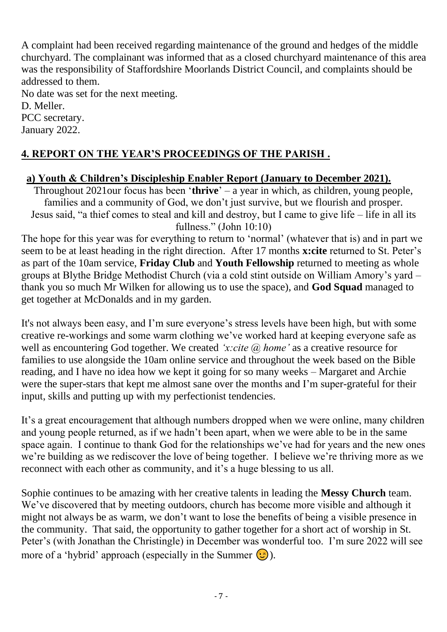A complaint had been received regarding maintenance of the ground and hedges of the middle churchyard. The complainant was informed that as a closed churchyard maintenance of this area was the responsibility of Staffordshire Moorlands District Council, and complaints should be addressed to them.

No date was set for the next meeting. D. Meller. PCC secretary.

January 2022.

# **4. REPORT ON THE YEAR'S PROCEEDINGS OF THE PARISH .**

#### **a) Youth & Children's Discipleship Enabler Report (January to December 2021).**

Throughout 2021our focus has been '**thrive**' – a year in which, as children, young people, families and a community of God, we don't just survive, but we flourish and prosper. Jesus said, "a thief comes to steal and kill and destroy, but I came to give life – life in all its fullness." (John 10:10)

The hope for this year was for everything to return to 'normal' (whatever that is) and in part we seem to be at least heading in the right direction. After 17 months **x:cite** returned to St. Peter's as part of the 10am service, **Friday Club** and **Youth Fellowship** returned to meeting as whole groups at Blythe Bridge Methodist Church (via a cold stint outside on William Amory's yard – thank you so much Mr Wilken for allowing us to use the space), and **God Squad** managed to get together at McDonalds and in my garden.

It's not always been easy, and I'm sure everyone's stress levels have been high, but with some creative re-workings and some warm clothing we've worked hard at keeping everyone safe as well as encountering God together. We created *'x:cite @ home'* as a creative resource for families to use alongside the 10am online service and throughout the week based on the Bible reading, and I have no idea how we kept it going for so many weeks – Margaret and Archie were the super-stars that kept me almost sane over the months and I'm super-grateful for their input, skills and putting up with my perfectionist tendencies.

It's a great encouragement that although numbers dropped when we were online, many children and young people returned, as if we hadn't been apart, when we were able to be in the same space again. I continue to thank God for the relationships we've had for years and the new ones we're building as we rediscover the love of being together. I believe we're thriving more as we reconnect with each other as community, and it's a huge blessing to us all.

Sophie continues to be amazing with her creative talents in leading the **Messy Church** team. We've discovered that by meeting outdoors, church has become more visible and although it might not always be as warm, we don't want to lose the benefits of being a visible presence in the community. That said, the opportunity to gather together for a short act of worship in St. Peter's (with Jonathan the Christingle) in December was wonderful too. I'm sure 2022 will see more of a 'hybrid' approach (especially in the Summer  $\circled{.}$ ).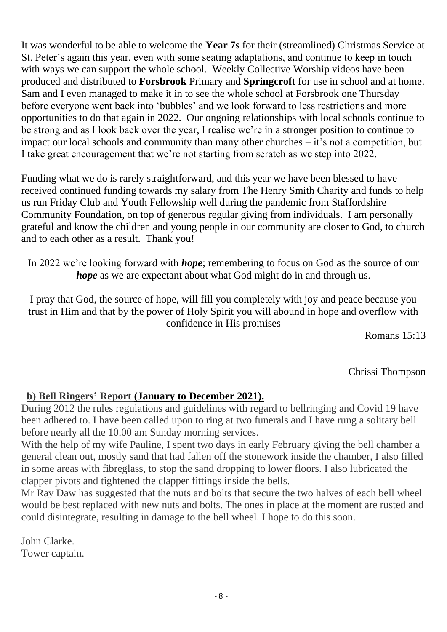It was wonderful to be able to welcome the **Year 7s** for their (streamlined) Christmas Service at St. Peter's again this year, even with some seating adaptations, and continue to keep in touch with ways we can support the whole school. Weekly Collective Worship videos have been produced and distributed to **Forsbrook** Primary and **Springcroft** for use in school and at home. Sam and I even managed to make it in to see the whole school at Forsbrook one Thursday before everyone went back into 'bubbles' and we look forward to less restrictions and more opportunities to do that again in 2022. Our ongoing relationships with local schools continue to be strong and as I look back over the year, I realise we're in a stronger position to continue to impact our local schools and community than many other churches – it's not a competition, but I take great encouragement that we're not starting from scratch as we step into 2022.

Funding what we do is rarely straightforward, and this year we have been blessed to have received continued funding towards my salary from The Henry Smith Charity and funds to help us run Friday Club and Youth Fellowship well during the pandemic from Staffordshire Community Foundation, on top of generous regular giving from individuals. I am personally grateful and know the children and young people in our community are closer to God, to church and to each other as a result. Thank you!

In 2022 we're looking forward with *hope*; remembering to focus on God as the source of our *hope* as we are expectant about what God might do in and through us.

I pray that God, the source of hope, will fill you completely with joy and peace because you trust in Him and that by the power of Holy Spirit you will abound in hope and overflow with confidence in His promises

Romans 15:13

Chrissi Thompson

#### **b) Bell Ringers' Report (January to December 2021).**

During 2012 the rules regulations and guidelines with regard to bellringing and Covid 19 have been adhered to. I have been called upon to ring at two funerals and I have rung a solitary bell before nearly all the 10.00 am Sunday morning services.

With the help of my wife Pauline, I spent two days in early February giving the bell chamber a general clean out, mostly sand that had fallen off the stonework inside the chamber, I also filled in some areas with fibreglass, to stop the sand dropping to lower floors. I also lubricated the clapper pivots and tightened the clapper fittings inside the bells.

Mr Ray Daw has suggested that the nuts and bolts that secure the two halves of each bell wheel would be best replaced with new nuts and bolts. The ones in place at the moment are rusted and could disintegrate, resulting in damage to the bell wheel. I hope to do this soon.

John Clarke. Tower captain.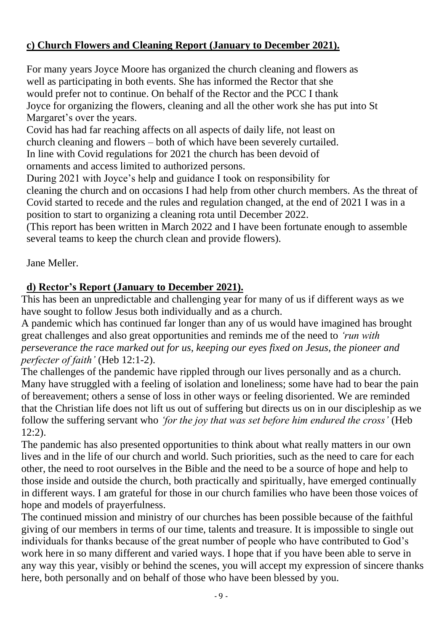## **c) Church Flowers and Cleaning Report (January to December 2021).**

For many years Joyce Moore has organized the church cleaning and flowers as well as participating in both events. She has informed the Rector that she would prefer not to continue. On behalf of the Rector and the PCC I thank Joyce for organizing the flowers, cleaning and all the other work she has put into St Margaret's over the years.

Covid has had far reaching affects on all aspects of daily life, not least on church cleaning and flowers – both of which have been severely curtailed. In line with Covid regulations for 2021 the church has been devoid of ornaments and access limited to authorized persons.

During 2021 with Joyce's help and guidance I took on responsibility for

cleaning the church and on occasions I had help from other church members. As the threat of Covid started to recede and the rules and regulation changed, at the end of 2021 I was in a position to start to organizing a cleaning rota until December 2022.

(This report has been written in March 2022 and I have been fortunate enough to assemble several teams to keep the church clean and provide flowers).

Jane Meller.

# **d) Rector's Report (January to December 2021).**

This has been an unpredictable and challenging year for many of us if different ways as we have sought to follow Jesus both individually and as a church.

A pandemic which has continued far longer than any of us would have imagined has brought great challenges and also great opportunities and reminds me of the need to *'run with perseverance the race marked out for us, keeping our eyes fixed on Jesus, the pioneer and perfecter of faith'* (Heb 12:1-2).

The challenges of the pandemic have rippled through our lives personally and as a church. Many have struggled with a feeling of isolation and loneliness; some have had to bear the pain of bereavement; others a sense of loss in other ways or feeling disoriented. We are reminded that the Christian life does not lift us out of suffering but directs us on in our discipleship as we follow the suffering servant who *'for the joy that was set before him endured the cross'* (Heb 12:2).

The pandemic has also presented opportunities to think about what really matters in our own lives and in the life of our church and world. Such priorities, such as the need to care for each other, the need to root ourselves in the Bible and the need to be a source of hope and help to those inside and outside the church, both practically and spiritually, have emerged continually in different ways. I am grateful for those in our church families who have been those voices of hope and models of prayerfulness.

The continued mission and ministry of our churches has been possible because of the faithful giving of our members in terms of our time, talents and treasure. It is impossible to single out individuals for thanks because of the great number of people who have contributed to God's work here in so many different and varied ways. I hope that if you have been able to serve in any way this year, visibly or behind the scenes, you will accept my expression of sincere thanks here, both personally and on behalf of those who have been blessed by you.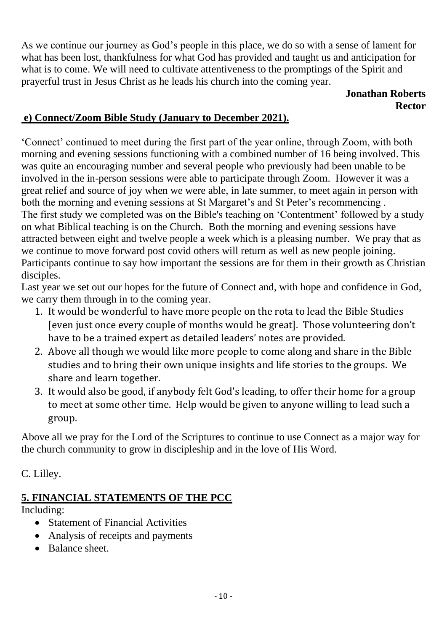As we continue our journey as God's people in this place, we do so with a sense of lament for what has been lost, thankfulness for what God has provided and taught us and anticipation for what is to come. We will need to cultivate attentiveness to the promptings of the Spirit and prayerful trust in Jesus Christ as he leads his church into the coming year.

#### **Jonathan Roberts Rector**

## **e) Connect/Zoom Bible Study (January to December 2021).**

'Connect' continued to meet during the first part of the year online, through Zoom, with both morning and evening sessions functioning with a combined number of 16 being involved. This was quite an encouraging number and several people who previously had been unable to be involved in the in-person sessions were able to participate through Zoom. However it was a great relief and source of joy when we were able, in late summer, to meet again in person with both the morning and evening sessions at St Margaret's and St Peter's recommencing . The first study we completed was on the Bible's teaching on 'Contentment' followed by a study on what Biblical teaching is on the Church. Both the morning and evening sessions have attracted between eight and twelve people a week which is a pleasing number. We pray that as we continue to move forward post covid others will return as well as new people joining. Participants continue to say how important the sessions are for them in their growth as Christian disciples.

Last year we set out our hopes for the future of Connect and, with hope and confidence in God, we carry them through in to the coming year.

- 1. It would be wonderful to have more people on the rota to lead the Bible Studies [even just once every couple of months would be great]. Those volunteering don't have to be a trained expert as detailed leaders' notes are provided.
- 2. Above all though we would like more people to come along and share in the Bible studies and to bring their own unique insights and life stories to the groups. We share and learn together.
- 3. It would also be good, if anybody felt God's leading, to offer their home for a group to meet at some other time. Help would be given to anyone willing to lead such a group.

Above all we pray for the Lord of the Scriptures to continue to use Connect as a major way for the church community to grow in discipleship and in the love of His Word.

C. Lilley.

# **5. FINANCIAL STATEMENTS OF THE PCC**

Including:

- Statement of Financial Activities
- Analysis of receipts and payments
- Balance sheet.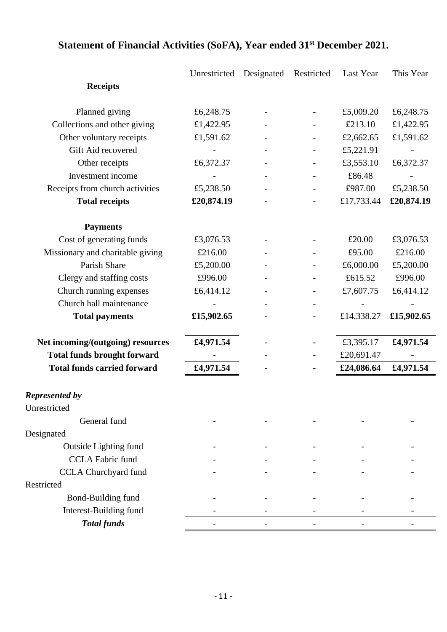|                                    | Unrestricted | Designated | Restricted               | Last Year  | This Year  |
|------------------------------------|--------------|------------|--------------------------|------------|------------|
| <b>Receipts</b>                    |              |            |                          |            |            |
| Planned giving                     | £6,248.75    |            |                          | £5,009.20  | £6,248.75  |
| Collections and other giving       | £1,422.95    |            |                          | £213.10    | £1,422.95  |
| Other voluntary receipts           | £1,591.62    |            |                          | £2,662.65  | £1,591.62  |
| Gift Aid recovered                 |              |            |                          | £5,221.91  |            |
| Other receipts                     | £6,372.37    |            |                          | £3,553.10  | £6,372.37  |
| Investment income                  |              |            |                          | £86.48     |            |
| Receipts from church activities    | £5,238.50    |            |                          | £987.00    | £5,238.50  |
| <b>Total receipts</b>              | £20,874.19   |            |                          | £17,733.44 | £20,874.19 |
| <b>Payments</b>                    |              |            |                          |            |            |
| Cost of generating funds           | £3,076.53    |            |                          | £20.00     | £3,076.53  |
| Missionary and charitable giving   | £216.00      |            |                          | £95.00     | £216.00    |
| Parish Share                       | £5,200.00    |            |                          | £6,000.00  | £5,200.00  |
| Clergy and staffing costs          | £996.00      |            |                          | £615.52    | £996.00    |
| Church running expenses            | £6,414.12    |            |                          | £7,607.75  | £6,414.12  |
| Church hall maintenance            |              |            | $\overline{\phantom{a}}$ |            |            |
| <b>Total payments</b>              | £15,902.65   |            |                          | £14,338.27 | £15,902.65 |
| Net incoming/(outgoing) resources  | £4,971.54    |            |                          | £3,395.17  | £4,971.54  |
| <b>Total funds brought forward</b> |              |            |                          | £20,691.47 |            |
| <b>Total funds carried forward</b> | £4,971.54    |            |                          | £24,086.64 | £4,971.54  |
| <b>Represented by</b>              |              |            |                          |            |            |
| Unrestricted                       |              |            |                          |            |            |
| General fund                       |              |            |                          |            |            |
| Designated                         |              |            |                          |            |            |
| Outside Lighting fund              |              |            |                          |            |            |
| <b>CCLA Fabric fund</b>            |              |            |                          |            |            |
| <b>CCLA Churchyard fund</b>        |              |            |                          |            |            |
| Restricted                         |              |            |                          |            |            |
| Bond-Building fund                 |              |            |                          |            |            |
| Interest-Building fund             |              |            |                          |            |            |
| <b>Total funds</b>                 |              |            |                          |            |            |

# **Statement of Financial Activities (SoFA), Year ended 31st December 2021.**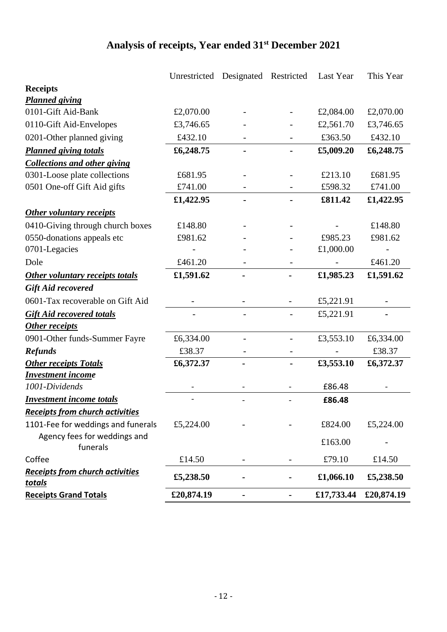# **Analysis of receipts, Year ended 31st December 2021**

|                                                         | Unrestricted | Designated Restricted |                          | Last Year  | This Year  |
|---------------------------------------------------------|--------------|-----------------------|--------------------------|------------|------------|
| <b>Receipts</b>                                         |              |                       |                          |            |            |
| <b>Planned giving</b>                                   |              |                       |                          |            |            |
| 0101-Gift Aid-Bank                                      | £2,070.00    |                       |                          | £2,084.00  | £2,070.00  |
| 0110-Gift Aid-Envelopes                                 | £3,746.65    |                       |                          | £2,561.70  | £3,746.65  |
| 0201-Other planned giving                               | £432.10      |                       |                          | £363.50    | £432.10    |
| <b>Planned giving totals</b>                            | £6,248.75    |                       |                          | £5,009.20  | £6,248.75  |
| <b>Collections and other giving</b>                     |              |                       |                          |            |            |
| 0301-Loose plate collections                            | £681.95      |                       |                          | £213.10    | £681.95    |
| 0501 One-off Gift Aid gifts                             | £741.00      |                       |                          | £598.32    | £741.00    |
|                                                         | £1,422.95    |                       |                          | £811.42    | £1,422.95  |
| Other voluntary receipts                                |              |                       |                          |            |            |
| 0410-Giving through church boxes                        | £148.80      |                       | $\overline{\phantom{a}}$ |            | £148.80    |
| 0550-donations appeals etc                              | £981.62      |                       |                          | £985.23    | £981.62    |
| 0701-Legacies                                           |              |                       |                          | £1,000.00  |            |
| Dole                                                    | £461.20      |                       |                          |            | £461.20    |
| <b>Other voluntary receipts totals</b>                  | £1,591.62    |                       |                          | £1,985.23  | £1,591.62  |
| <b>Gift Aid recovered</b>                               |              |                       |                          |            |            |
| 0601-Tax recoverable on Gift Aid                        |              |                       |                          | £5,221.91  |            |
| <b>Gift Aid recovered totals</b>                        |              |                       |                          | £5,221.91  |            |
| Other receipts                                          |              |                       |                          |            |            |
| 0901-Other funds-Summer Fayre                           | £6,334.00    |                       |                          | £3,553.10  | £6,334.00  |
| <b>Refunds</b>                                          | £38.37       |                       |                          |            | £38.37     |
| <b>Other receipts Totals</b>                            | £6,372.37    |                       |                          | £3,553.10  | £6,372.37  |
| <b>Investment income</b>                                |              |                       |                          |            |            |
| 1001-Dividends                                          |              |                       |                          | £86.48     |            |
| <b>Investment income totals</b>                         |              |                       |                          | £86.48     |            |
| <b>Receipts from church activities</b>                  |              |                       |                          |            |            |
| 1101-Fee for weddings and funerals                      | £5,224.00    |                       |                          | £824.00    | £5,224.00  |
| Agency fees for weddings and<br>funerals                |              |                       |                          | £163.00    |            |
| Coffee                                                  | £14.50       | -                     | -                        | £79.10     | £14.50     |
| <b>Receipts from church activities</b><br><u>totals</u> | £5,238.50    |                       |                          | £1,066.10  | £5,238.50  |
| <b>Receipts Grand Totals</b>                            | £20,874.19   |                       | -                        | £17,733.44 | £20,874.19 |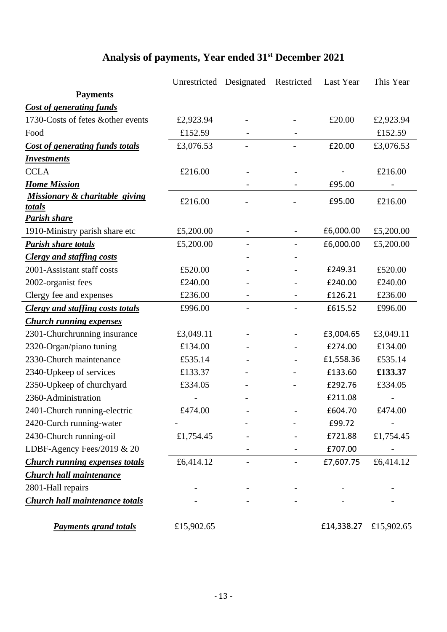# **Analysis of payments, Year ended 31st December 2021**

|                                           | Unrestricted | Designated               | Restricted | Last Year  | This Year  |
|-------------------------------------------|--------------|--------------------------|------------|------------|------------|
| <b>Payments</b>                           |              |                          |            |            |            |
| <b>Cost of generating funds</b>           |              |                          |            |            |            |
| 1730-Costs of fetes &other events         | £2,923.94    |                          |            | £20.00     | £2,923.94  |
| Food                                      | £152.59      |                          |            |            | £152.59    |
| <b>Cost of generating funds totals</b>    | £3,076.53    |                          |            | £20.00     | £3,076.53  |
| <b>Investments</b>                        |              |                          |            |            |            |
| <b>CCLA</b>                               | £216.00      |                          |            |            | £216.00    |
| <b>Home Mission</b>                       |              |                          |            | £95.00     |            |
| Missionary & charitable giving            | £216.00      |                          |            | £95.00     | £216.00    |
| <u>totals</u>                             |              |                          |            |            |            |
| <b>Parish share</b>                       |              |                          |            |            |            |
| 1910-Ministry parish share etc            | £5,200.00    | $\overline{\phantom{a}}$ |            | £6,000.00  | £5,200.00  |
| <b>Parish share totals</b>                | £5,200.00    |                          |            | £6,000.00  | £5,200.00  |
| <b>Clergy and staffing costs</b>          |              |                          |            |            |            |
| 2001-Assistant staff costs                | £520.00      |                          |            | £249.31    | £520.00    |
| 2002-organist fees                        | £240.00      |                          |            | £240.00    | £240.00    |
| Clergy fee and expenses                   | £236.00      |                          |            | £126.21    | £236.00    |
| <b>Clergy and staffing costs totals</b>   | £996.00      |                          |            | £615.52    | £996.00    |
| <b>Church running expenses</b>            |              |                          |            |            |            |
| 2301-Churchrunning insurance<br>£3,049.11 |              |                          |            | £3,004.65  | £3,049.11  |
| 2320-Organ/piano tuning                   | £134.00      |                          |            | £274.00    | £134.00    |
| 2330-Church maintenance                   | £535.14      |                          |            | £1,558.36  | £535.14    |
| 2340-Upkeep of services                   | £133.37      |                          |            | £133.60    | £133.37    |
| 2350-Upkeep of churchyard                 | £334.05      |                          |            | £292.76    | £334.05    |
| 2360-Administration                       |              |                          |            | £211.08    |            |
| 2401-Church running-electric              | £474.00      |                          |            | £604.70    | £474.00    |
| 2420-Curch running-water                  |              |                          |            | £99.72     |            |
| 2430-Church running-oil                   | £1,754.45    |                          |            | £721.88    | £1,754.45  |
| LDBF-Agency Fees/2019 & 20                |              |                          |            | £707.00    |            |
| <b>Church running expenses totals</b>     | £6,414.12    |                          |            | £7,607.75  | £6,414.12  |
| <b>Church hall maintenance</b>            |              |                          |            |            |            |
| 2801-Hall repairs                         |              |                          |            |            |            |
| <b>Church hall maintenance totals</b>     |              |                          |            |            |            |
| <b>Payments grand totals</b>              | £15,902.65   |                          |            | £14,338.27 | £15,902.65 |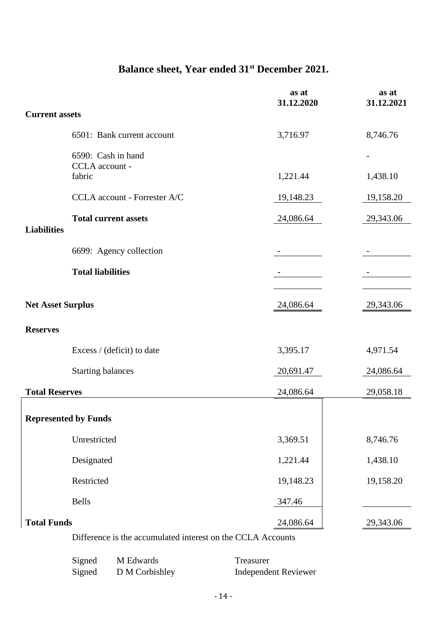# **Balance sheet, Year ended 31st December 2021.**

|                          |                                                             | as at<br>31.12.2020 | as at<br>31.12.2021 |  |  |  |
|--------------------------|-------------------------------------------------------------|---------------------|---------------------|--|--|--|
| <b>Current assets</b>    |                                                             |                     |                     |  |  |  |
|                          | 6501: Bank current account                                  | 3,716.97            | 8,746.76            |  |  |  |
|                          | 6590: Cash in hand<br>CCLA account -                        |                     |                     |  |  |  |
|                          | fabric                                                      | 1,221.44            | 1,438.10            |  |  |  |
|                          | CCLA account - Forrester A/C                                | 19,148.23           | 19,158.20           |  |  |  |
| <b>Liabilities</b>       | <b>Total current assets</b>                                 | 24,086.64           | 29,343.06           |  |  |  |
|                          |                                                             |                     |                     |  |  |  |
|                          | 6699: Agency collection                                     |                     |                     |  |  |  |
|                          | <b>Total liabilities</b>                                    |                     |                     |  |  |  |
| <b>Net Asset Surplus</b> |                                                             | 24,086.64           | 29,343.06           |  |  |  |
| <b>Reserves</b>          |                                                             |                     |                     |  |  |  |
|                          | Excess / (deficit) to date                                  | 3,395.17            | 4,971.54            |  |  |  |
|                          | <b>Starting balances</b>                                    | 20,691.47           | 24,086.64           |  |  |  |
| <b>Total Reserves</b>    |                                                             | 24,086.64           | 29,058.18           |  |  |  |
|                          | <b>Represented by Funds</b>                                 |                     |                     |  |  |  |
|                          | Unrestricted                                                | 3,369.51            | 8,746.76            |  |  |  |
|                          | Designated                                                  | 1,221.44            | 1,438.10            |  |  |  |
|                          | Restricted                                                  | 19,148.23           | 19,158.20           |  |  |  |
|                          | <b>Bells</b>                                                | 347.46              |                     |  |  |  |
| <b>Total Funds</b>       |                                                             | 24,086.64           | 29,343.06           |  |  |  |
|                          | Difference is the accumulated interest on the CCLA Accounts |                     |                     |  |  |  |

| Signed | M Edwards      | Treasurer            |
|--------|----------------|----------------------|
| Signed | D M Corbishley | Independent Reviewer |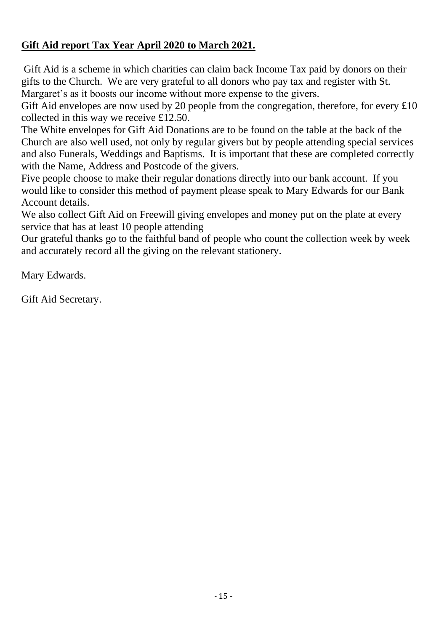# **Gift Aid report Tax Year April 2020 to March 2021.**

 Gift Aid is a scheme in which charities can claim back Income Tax paid by donors on their gifts to the Church. We are very grateful to all donors who pay tax and register with St. Margaret's as it boosts our income without more expense to the givers.

Gift Aid envelopes are now used by 20 people from the congregation, therefore, for every  $\pounds 10$ collected in this way we receive £12.50.

The White envelopes for Gift Aid Donations are to be found on the table at the back of the Church are also well used, not only by regular givers but by people attending special services and also Funerals, Weddings and Baptisms. It is important that these are completed correctly with the Name, Address and Postcode of the givers.

Five people choose to make their regular donations directly into our bank account. If you would like to consider this method of payment please speak to Mary Edwards for our Bank Account details.

We also collect Gift Aid on Freewill giving envelopes and money put on the plate at every service that has at least 10 people attending

Our grateful thanks go to the faithful band of people who count the collection week by week and accurately record all the giving on the relevant stationery.

Mary Edwards.

Gift Aid Secretary.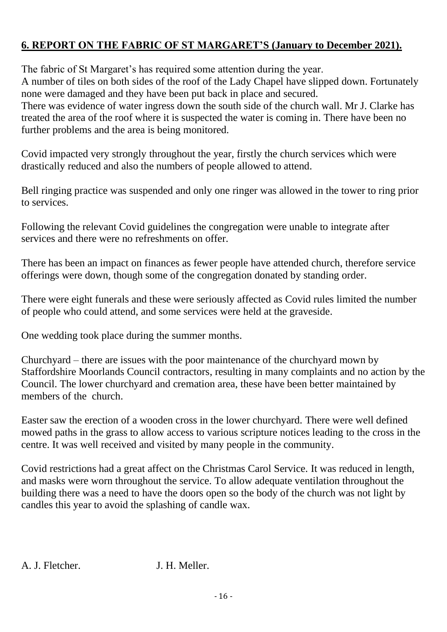# **6. REPORT ON THE FABRIC OF ST MARGARET'S (January to December 2021).**

The fabric of St Margaret's has required some attention during the year.

A number of tiles on both sides of the roof of the Lady Chapel have slipped down. Fortunately none were damaged and they have been put back in place and secured.

There was evidence of water ingress down the south side of the church wall. Mr J. Clarke has treated the area of the roof where it is suspected the water is coming in. There have been no further problems and the area is being monitored.

Covid impacted very strongly throughout the year, firstly the church services which were drastically reduced and also the numbers of people allowed to attend.

Bell ringing practice was suspended and only one ringer was allowed in the tower to ring prior to services.

Following the relevant Covid guidelines the congregation were unable to integrate after services and there were no refreshments on offer.

There has been an impact on finances as fewer people have attended church, therefore service offerings were down, though some of the congregation donated by standing order.

There were eight funerals and these were seriously affected as Covid rules limited the number of people who could attend, and some services were held at the graveside.

One wedding took place during the summer months.

Churchyard – there are issues with the poor maintenance of the churchyard mown by Staffordshire Moorlands Council contractors, resulting in many complaints and no action by the Council. The lower churchyard and cremation area, these have been better maintained by members of the church.

Easter saw the erection of a wooden cross in the lower churchyard. There were well defined mowed paths in the grass to allow access to various scripture notices leading to the cross in the centre. It was well received and visited by many people in the community.

Covid restrictions had a great affect on the Christmas Carol Service. It was reduced in length, and masks were worn throughout the service. To allow adequate ventilation throughout the building there was a need to have the doors open so the body of the church was not light by candles this year to avoid the splashing of candle wax.

A. J. Fletcher. J. H. Meller.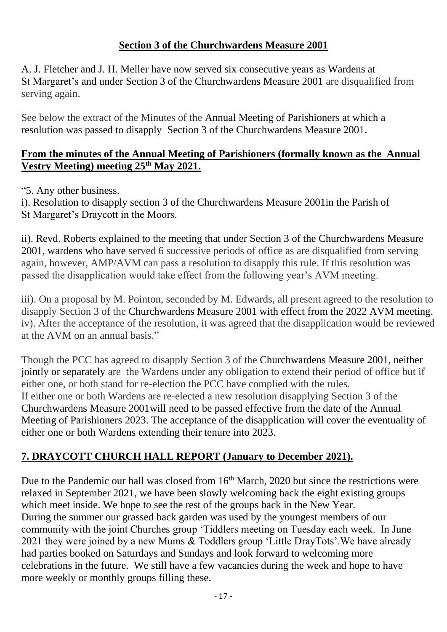## **Section 3 of the Churchwardens Measure 2001**

A. J. Fletcher and J. H. Meller have now served six consecutive years as Wardens at St Margaret's and under Section 3 of the Churchwardens Measure 2001 are disqualified from serving again.

See below the extract of the Minutes of the Annual Meeting of Parishioners at which a resolution was passed to disapply Section 3 of the Churchwardens Measure 2001.

#### **From the minutes of the Annual Meeting of Parishioners (formally known as the Annual Vestry Meeting) meeting 25th May 2021.**

"5. Any other business.

i). Resolution to disapply section 3 of the Churchwardens Measure 2001in the Parish of St Margaret's Draycott in the Moors.

ii). Revd. Roberts explained to the meeting that under Section 3 of the Churchwardens Measure 2001, wardens who have served 6 successive periods of office as are disqualified from serving again, however, AMP/AVM can pass a resolution to disapply this rule. If this resolution was passed the disapplication would take effect from the following year's AVM meeting.

iii). On a proposal by M. Pointon, seconded by M. Edwards, all present agreed to the resolution to disapply Section 3 of the Churchwardens Measure 2001 with effect from the 2022 AVM meeting. iv). After the acceptance of the resolution, it was agreed that the disapplication would be reviewed at the AVM on an annual basis."

Though the PCC has agreed to disapply Section 3 of the Churchwardens Measure 2001, neither jointly or separately are the Wardens under any obligation to extend their period of office but if either one, or both stand for re-election the PCC have complied with the rules. If either one or both Wardens are re-elected a new resolution disapplying Section 3 of the Churchwardens Measure 2001will need to be passed effective from the date of the Annual Meeting of Parishioners 2023. The acceptance of the disapplication will cover the eventuality of either one or both Wardens extending their tenure into 2023.

# **7. DRAYCOTT CHURCH HALL REPORT (January to December 2021).**

Due to the Pandemic our hall was closed from  $16<sup>th</sup>$  March, 2020 but since the restrictions were relaxed in September 2021, we have been slowly welcoming back the eight existing groups which meet inside. We hope to see the rest of the groups back in the New Year. During the summer our grassed back garden was used by the youngest members of our community with the joint Churches group 'Tiddlers meeting on Tuesday each week. In June 2021 they were joined by a new Mums & Toddlers group 'Little DrayTots'.We have already had parties booked on Saturdays and Sundays and look forward to welcoming more celebrations in the future. We still have a few vacancies during the week and hope to have more weekly or monthly groups filling these.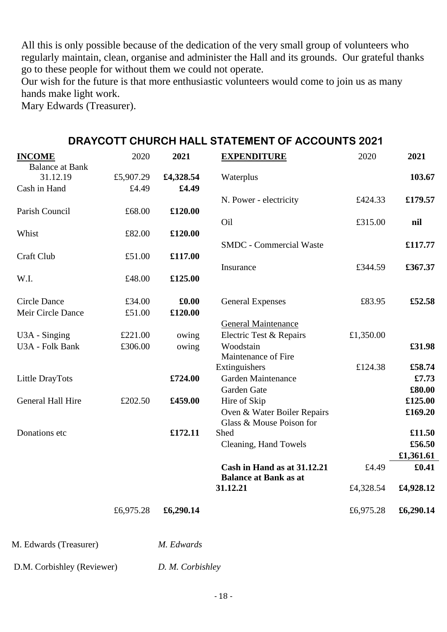All this is only possible because of the dedication of the very small group of volunteers who regularly maintain, clean, organise and administer the Hall and its grounds. Our grateful thanks go to these people for without them we could not operate.

Our wish for the future is that more enthusiastic volunteers would come to join us as many hands make light work.

Mary Edwards (Treasurer).

| <b>INCOME</b>          | 2020      | 2021      | <b>EXPENDITURE</b>             | 2020      | 2021      |
|------------------------|-----------|-----------|--------------------------------|-----------|-----------|
| <b>Balance at Bank</b> |           |           |                                |           |           |
| 31.12.19               | £5,907.29 | £4,328.54 | Waterplus                      |           | 103.67    |
| Cash in Hand           | £4.49     | £4.49     |                                |           |           |
|                        |           |           | N. Power - electricity         | £424.33   | £179.57   |
| Parish Council         | £68.00    | £120.00   |                                |           |           |
|                        |           |           | Oil                            | £315.00   | nil       |
| Whist                  | £82.00    | £120.00   |                                |           |           |
|                        |           |           | <b>SMDC</b> - Commercial Waste |           | £117.77   |
| Craft Club             | £51.00    | £117.00   |                                |           |           |
|                        |           |           | Insurance                      | £344.59   | £367.37   |
| W.I.                   | £48.00    | £125.00   |                                |           |           |
|                        |           |           |                                |           |           |
| <b>Circle Dance</b>    | £34.00    | £0.00     | <b>General Expenses</b>        | £83.95    | £52.58    |
| Meir Circle Dance      | £51.00    | £120.00   |                                |           |           |
|                        |           |           | <b>General Maintenance</b>     |           |           |
| U3A - Singing          | £221.00   | owing     | Electric Test & Repairs        | £1,350.00 |           |
| U3A - Folk Bank        | £306.00   | owing     | Woodstain                      |           | £31.98    |
|                        |           |           | Maintenance of Fire            |           |           |
|                        |           |           | Extinguishers                  | £124.38   | £58.74    |
| Little DrayTots        |           | £724.00   | Garden Maintenance             |           | £7.73     |
|                        |           |           | Garden Gate                    |           | £80.00    |
| General Hall Hire      | £202.50   | £459.00   | Hire of Skip                   |           | £125.00   |
|                        |           |           | Oven & Water Boiler Repairs    |           | £169.20   |
|                        |           |           | Glass & Mouse Poison for       |           |           |
| Donations etc          |           | £172.11   | Shed                           |           | £11.50    |
|                        |           |           | Cleaning, Hand Towels          |           | £56.50    |
|                        |           |           |                                |           | £1,361.61 |
|                        |           |           | Cash in Hand as at 31.12.21    | £4.49     | £0.41     |
|                        |           |           | <b>Balance at Bank as at</b>   |           |           |
|                        |           |           | 31.12.21                       | £4,328.54 | £4,928.12 |
|                        |           |           |                                |           |           |
|                        | £6,975.28 | £6,290.14 |                                | £6,975.28 | £6,290.14 |
|                        |           |           |                                |           |           |

#### **DRAYCOTT CHURCH HALL STATEMENT OF ACCOUNTS 2021**

M. Edwards (Treasurer) *M. Edwards*

D.M. Corbishley (Reviewer) *D. M. Corbishley*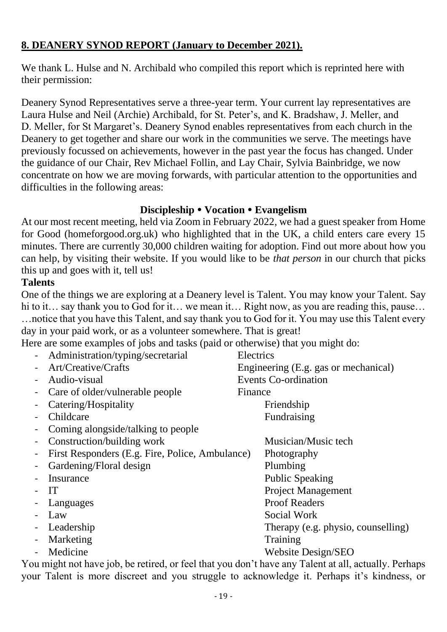## **8. DEANERY SYNOD REPORT (January to December 2021).**

We thank L. Hulse and N. Archibald who compiled this report which is reprinted here with their permission:

Deanery Synod Representatives serve a three-year term. Your current lay representatives are Laura Hulse and Neil (Archie) Archibald, for St. Peter's, and K. Bradshaw, J. Meller, and D. Meller, for St Margaret's. Deanery Synod enables representatives from each church in the Deanery to get together and share our work in the communities we serve. The meetings have previously focussed on achievements, however in the past year the focus has changed. Under the guidance of our Chair, Rev Michael Follin, and Lay Chair, Sylvia Bainbridge, we now concentrate on how we are moving forwards, with particular attention to the opportunities and difficulties in the following areas:

#### **Discipleship Vocation Evangelism**

At our most recent meeting, held via Zoom in February 2022, we had a guest speaker from Home for Good (homeforgood.org.uk) who highlighted that in the UK, a child enters care every 15 minutes. There are currently 30,000 children waiting for adoption. Find out more about how you can help, by visiting their website. If you would like to be *that person* in our church that picks this up and goes with it, tell us!

#### **Talents**

One of the things we are exploring at a Deanery level is Talent. You may know your Talent. Say hi to it… say thank you to God for it… we mean it… Right now, as you are reading this, pause… …notice that you have this Talent, and say thank you to God for it. You may use this Talent every day in your paid work, or as a volunteer somewhere. That is great!

Here are some examples of jobs and tasks (paid or otherwise) that you might do:

| Administration/typing/secretarial                                                                                                                                                                                                                                                                                                                | Electrics                            |
|--------------------------------------------------------------------------------------------------------------------------------------------------------------------------------------------------------------------------------------------------------------------------------------------------------------------------------------------------|--------------------------------------|
| Art/Creative/Crafts                                                                                                                                                                                                                                                                                                                              | Engineering (E.g. gas or mechanical) |
| Audio-visual                                                                                                                                                                                                                                                                                                                                     | <b>Events Co-ordination</b>          |
| Care of older/vulnerable people                                                                                                                                                                                                                                                                                                                  | Finance                              |
| Catering/Hospitality                                                                                                                                                                                                                                                                                                                             | Friendship                           |
| Childcare                                                                                                                                                                                                                                                                                                                                        | Fundraising                          |
| Coming alongside/talking to people                                                                                                                                                                                                                                                                                                               |                                      |
| Construction/building work                                                                                                                                                                                                                                                                                                                       | Musician/Music tech                  |
| First Responders (E.g. Fire, Police, Ambulance)                                                                                                                                                                                                                                                                                                  | Photography                          |
| Gardening/Floral design                                                                                                                                                                                                                                                                                                                          | Plumbing                             |
| Insurance                                                                                                                                                                                                                                                                                                                                        | <b>Public Speaking</b>               |
| IT                                                                                                                                                                                                                                                                                                                                               | <b>Project Management</b>            |
| Languages                                                                                                                                                                                                                                                                                                                                        | <b>Proof Readers</b>                 |
| Law                                                                                                                                                                                                                                                                                                                                              | Social Work                          |
| Leadership                                                                                                                                                                                                                                                                                                                                       | Therapy (e.g. physio, counselling)   |
| Marketing                                                                                                                                                                                                                                                                                                                                        | Training                             |
| Medicine                                                                                                                                                                                                                                                                                                                                         | Website Design/SEO                   |
| $\mathbf{1}_{1}, \mathbf{1}_{2}, \ldots, \mathbf{1}_{n}$ , $\mathbf{1}_{n}$ , $\mathbf{1}_{n}$ , $\mathbf{1}_{n}$ , $\mathbf{1}_{n}$ , $\mathbf{1}_{n}$ , $\mathbf{1}_{n}$ , $\mathbf{1}_{n}$ , $\mathbf{1}_{n}$ , $\mathbf{1}_{n}$ , $\mathbf{1}_{n}$ , $\mathbf{1}_{n}$ , $\mathbf{1}_{n}$ , $\mathbf{1}_{n}$ , $\mathbf{1}_{n}$ , $\mathbf{1$ |                                      |

You might not have job, be retired, or feel that you don't have any Talent at all, actually. Perhaps your Talent is more discreet and you struggle to acknowledge it. Perhaps it's kindness, or